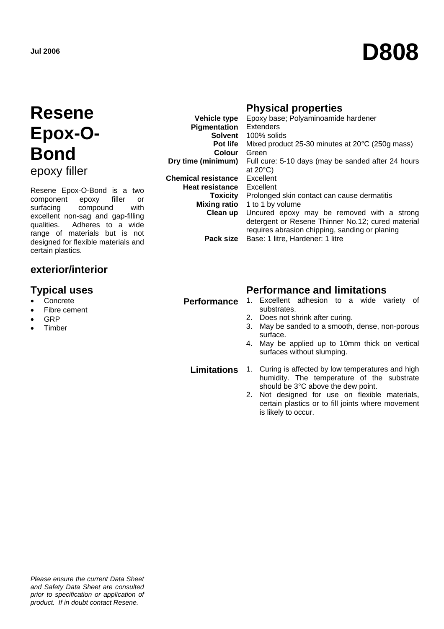# **Jul 2006 D808**

## **Resene Epox-O-Bond**  epoxy filler

Resene Epox-O-Bond is a two component epoxy filler or surfacing compound with excellent non-sag and gap-filling qualities. Adheres to a wide range of materials but is not designed for flexible materials and certain plastics.

### **exterior/interior**

- **Concrete**
- Fibre cement
- GRP
- **Timber**

|                            | <b>Physical properties</b>                         |
|----------------------------|----------------------------------------------------|
| <b>Vehicle type</b>        | Epoxy base; Polyaminoamide hardener                |
| Pigmentation               | Extenders                                          |
| Solvent                    | 100% solids                                        |
| Pot life                   | Mixed product 25-30 minutes at 20°C (250g mass)    |
| <b>Colour</b>              | Green                                              |
| Dry time (minimum)         | Full cure: 5-10 days (may be sanded after 24 hours |
|                            | at $20^{\circ}$ C)                                 |
| <b>Chemical resistance</b> | Excellent                                          |
| <b>Heat resistance</b>     | Excellent                                          |
| Toxicity                   | Prolonged skin contact can cause dermatitis        |
| <b>Mixing ratio</b>        | 1 to 1 by volume                                   |
| Clean up                   | Uncured epoxy may be removed with a strong         |
|                            | detergent or Resene Thinner No.12; cured material  |
|                            | requires abrasion chipping, sanding or planing     |
| Pack size                  | Base: 1 litre, Hardener: 1 litre                   |

### **Typical uses Constructed Exercise Section Performance and limitations**

- Performance 1. Excellent adhesion to a wide variety of substrates.
	- 2. Does not shrink after curing.
	- 3. May be sanded to a smooth, dense, non-porous surface.
	- 4. May be applied up to 10mm thick on vertical surfaces without slumping.

**Limitations** 1. Curing is affected by low temperatures and high humidity. The temperature of the substrate should be 3°C above the dew point.

> 2. Not designed for use on flexible materials, certain plastics or to fill joints where movement is likely to occur.